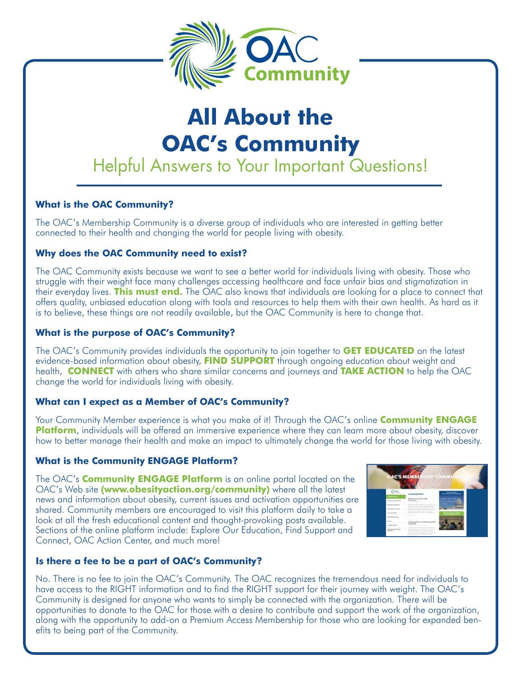

# **All About the OAC's Community** Helpful Answers to Your Important Questions!

# **What is the OAC Community?**

The OAC's Membership Community is a diverse group of individuals who are interested in getting better connected to their health and changing the world for people living with obesity.

## **Why does the OAC Community need to exist?**

The OAC Community exists because we want to see a better world for individuals living with obesity. Those who struggle with their weight face many challenges accessing healthcare and face unfair bias and stigmatization in their everyday lives. **This must end.** The OAC also knows that individuals are looking for a place to connect that offers quality, unbiased education along with tools and resources to help them with their own health. As hard as it is to believe, these things are not readily available, but the OAC Community is here to change that.

## **What is the purpose of OAC's Community?**

The OAC's Community provides individuals the opportunity to join together to **GET EDUCATED** on the latest evidence-based information about obesity, **FIND SUPPORT** through ongoing education about weight and health, **CONNECT** with others who share similar concerns and journeys and **TAKE ACTION** to help the OAC change the world for individuals living with obesity.

# **What can I expect as a Member of OAC's Community?**

Your Community Member experience is what you make of it! Through the OAC's online **Community ENGAGE Platform**, individuals will be offered an immersive experience where they can learn more about obesity, discover how to better manage their health and make an impact to ultimately change the world for those living with obesity.

#### **What is the Community ENGAGE Platform?**

The OAC's **Community ENGAGE Platform** is an online portal located on the OAC's Web site **(www.obesityaction.org/community)** where all the latest news and information about obesity, current issues and activation opportunities are shared. Community members are encouraged to visit this platform daily to take a look at all the fresh educational content and thought-provoking posts available. Sections of the online platform include: Explore Our Education, Find Support and Connect, OAC Action Center, and much more!



# **Is there a fee to be a part of OAC's Community?**

No. There is no fee to join the OAC's Community. The OAC recognizes the tremendous need for individuals to have access to the RIGHT information and to find the RIGHT support for their journey with weight. The OAC's Community is designed for anyone who wants to simply be connected with the organization. There will be opportunities to donate to the OAC for those with a desire to contribute and support the work of the organization, along with the opportunity to add-on a Premium Access Membership for those who are looking for expanded benefits to being part of the Community.